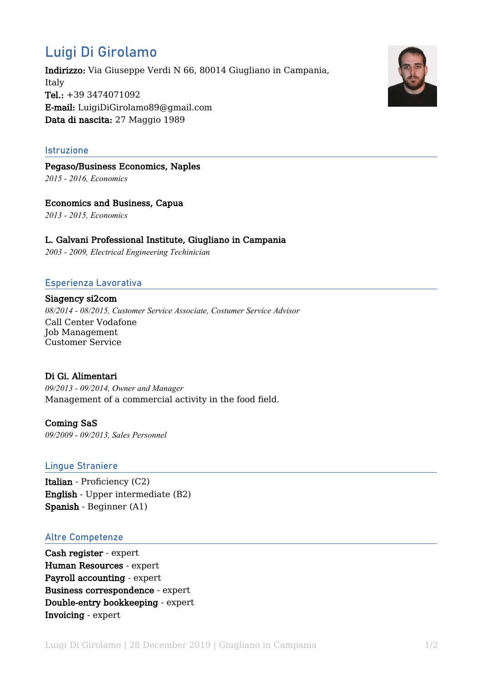# Luigi Di Girolamo

Indirizzo: Via Giuseppe Verdi N 66, 80014 Giugliano in Campania, Italy Tel.: +39 3474071092 E-mail: LuigiDiGirolamo89@gmail.com Data di nascita: 27 Maggio 1989

#### Istruzione

Pegaso/Business Economics, Naples *2015 - 2016, Economics*

Economics and Business, Capua *2013 - 2015, Economics*

# L. Galvani Professional Institute, Giugliano in Campania

*2003 - 2009, Electrical Engineering Techinician*

## Esperienza Lavorativa

Siagency si2com *08/2014 - 08/2015, Customer Service Associate, Costumer Service Advisor* Call Center Vodafone Job Management Customer Service

### Di Gi. Alimentari

*09/2013 - 09/2014, Owner and Manager* Management of a commercial activity in the food field.

Coming SaS *09/2009 - 09/2013, Sales Personnel*

#### Lingue Straniere

Italian - Proficiency (C2) English - Upper intermediate (B2) Spanish - Beginner (A1)

#### Altre Competenze

Cash register - expert Human Resources - expert Payroll accounting - expert Business correspondence - expert Double-entry bookkeeping - expert Invoicing - expert